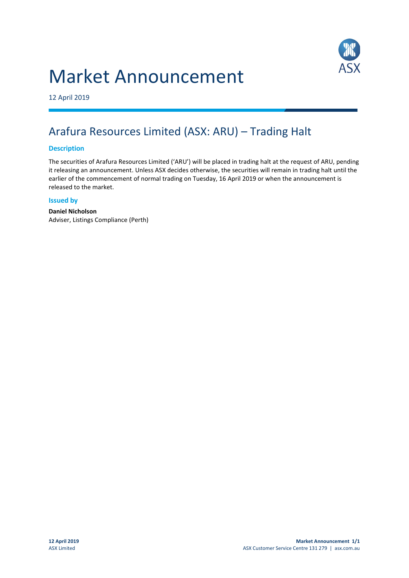# Market Announcement



12 April 2019

## Arafura Resources Limited (ASX: ARU) – Trading Halt

### **Description**

The securities of Arafura Resources Limited ('ARU') will be placed in trading halt at the request of ARU, pending it releasing an announcement. Unless ASX decides otherwise, the securities will remain in trading halt until the earlier of the commencement of normal trading on Tuesday, 16 April 2019 or when the announcement is released to the market.

#### **Issued by**

**Daniel Nicholson** Adviser, Listings Compliance (Perth)